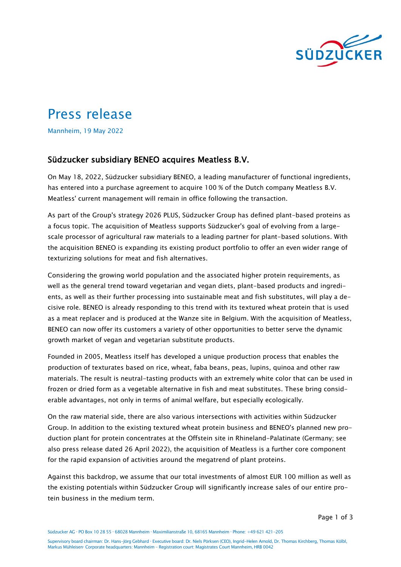

# Press release

Mannheim, 19 May 2022

## Südzucker subsidiary BENEO acquires Meatless B.V.

On May 18, 2022, Südzucker subsidiary BENEO, a leading manufacturer of functional ingredients, has entered into a purchase agreement to acquire 100 % of the Dutch company Meatless B.V. Meatless' current management will remain in office following the transaction.

As part of the Group's strategy 2026 PLUS, Südzucker Group has defined plant-based proteins as a focus topic. The acquisition of Meatless supports Südzucker's goal of evolving from a largescale processor of agricultural raw materials to a leading partner for plant-based solutions. With the acquisition BENEO is expanding its existing product portfolio to offer an even wider range of texturizing solutions for meat and fish alternatives.

Considering the growing world population and the associated higher protein requirements, as well as the general trend toward vegetarian and vegan diets, plant-based products and ingredients, as well as their further processing into sustainable meat and fish substitutes, will play a decisive role. BENEO is already responding to this trend with its textured wheat protein that is used as a meat replacer and is produced at the Wanze site in Belgium. With the acquisition of Meatless, BENEO can now offer its customers a variety of other opportunities to better serve the dynamic growth market of vegan and vegetarian substitute products.

Founded in 2005, Meatless itself has developed a unique production process that enables the production of texturates based on rice, wheat, faba beans, peas, lupins, quinoa and other raw materials. The result is neutral-tasting products with an extremely white color that can be used in frozen or dried form as a vegetable alternative in fish and meat substitutes. These bring considerable advantages, not only in terms of animal welfare, but especially ecologically.

On the raw material side, there are also various intersections with activities within Südzucker Group. In addition to the existing textured wheat protein business and BENEO's planned new production plant for protein concentrates at the Offstein site in Rhineland-Palatinate (Germany; see also press release dated 26 April 2022), the acquisition of Meatless is a further core component for the rapid expansion of activities around the megatrend of plant proteins.

Against this backdrop, we assume that our total investments of almost EUR 100 million as well as the existing potentials within Südzucker Group will significantly increase sales of our entire protein business in the medium term.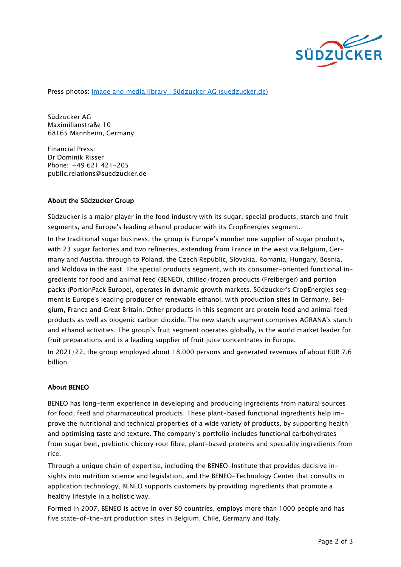

Press photos: *Image and media library | Südzucker AG (suedzucker.de)* 

Südzucker AG Maximilianstraße 10 68165 Mannheim, Germany

Financial Press: Dr Dominik Risser Phone: +49 621 421-205 public.relations@suedzucker.de

#### About the Südzucker Group

Südzucker is a major player in the food industry with its sugar, special products, starch and fruit segments, and Europe's leading ethanol producer with its CropEnergies segment.

In the traditional sugar business, the group is Europe's number one supplier of sugar products, with 23 sugar factories and two refineries, extending from France in the west via Belgium, Germany and Austria, through to Poland, the Czech Republic, Slovakia, Romania, Hungary, Bosnia, and Moldova in the east. The special products segment, with its consumer-oriented functional ingredients for food and animal feed (BENEO), chilled/frozen products (Freiberger) and portion packs (PortionPack Europe), operates in dynamic growth markets. Südzucker's CropEnergies segment is Europe's leading producer of renewable ethanol, with production sites in Germany, Belgium, France and Great Britain. Other products in this segment are protein food and animal feed products as well as biogenic carbon dioxide. The new starch segment comprises AGRANA's starch and ethanol activities. The group's fruit segment operates globally, is the world market leader for fruit preparations and is a leading supplier of fruit juice concentrates in Europe.

In 2021/22, the group employed about 18.000 persons and generated revenues of about EUR 7.6 billion.

#### About BENEO

BENEO has long-term experience in developing and producing ingredients from natural sources for food, feed and pharmaceutical products. These plant-based functional ingredients help improve the nutritional and technical properties of a wide variety of products, by supporting health and optimising taste and texture. The company's portfolio includes functional carbohydrates from sugar beet, prebiotic chicory root fibre, plant-based proteins and speciality ingredients from rice.

Through a unique chain of expertise, including the BENEO-Institute that provides decisive insights into nutrition science and legislation, and the BENEO-Technology Center that consults in application technology, BENEO supports customers by providing ingredients that promote a healthy lifestyle in a holistic way.

Formed in 2007, BENEO is active in over 80 countries, employs more than 1000 people and has five state-of-the-art production sites in Belgium, Chile, Germany and Italy.